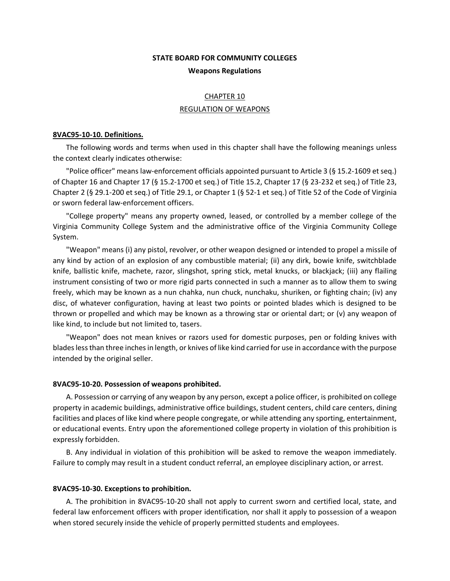# **STATE BOARD FOR COMMUNITY COLLEGES Weapons Regulations**

## CHAPTER 10 REGULATION OF WEAPONS

#### **8VAC95-10-10. Definitions.**

The following words and terms when used in this chapter shall have the following meanings unless the context clearly indicates otherwise:

"Police officer" means law-enforcement officials appointed pursuant to Article 3 (§ 15.2-1609 et seq.) of Chapter 16 and Chapter 17 (§ 15.2-1700 et seq.) of Title 15.2, Chapter 17 (§ 23-232 et seq.) of Title 23, Chapter 2 (§ 29.1-200 et seq.) of Title 29.1, or Chapter 1 (§ 52-1 et seq.) of Title 52 of the Code of Virginia or sworn federal law-enforcement officers.

"College property" means any property owned, leased, or controlled by a member college of the Virginia Community College System and the administrative office of the Virginia Community College System.

"Weapon" means (i) any pistol, revolver, or other weapon designed or intended to propel a missile of any kind by action of an explosion of any combustible material; (ii) any dirk, bowie knife, switchblade knife, ballistic knife, machete, razor, slingshot, spring stick, metal knucks, or blackjack; (iii) any flailing instrument consisting of two or more rigid parts connected in such a manner as to allow them to swing freely, which may be known as a nun chahka, nun chuck, nunchaku, shuriken, or fighting chain; (iv) any disc, of whatever configuration, having at least two points or pointed blades which is designed to be thrown or propelled and which may be known as a throwing star or oriental dart; or (v) any weapon of like kind, to include but not limited to, tasers.

"Weapon" does not mean knives or razors used for domestic purposes, pen or folding knives with blades less than three inches in length, or knives of like kind carried for use in accordance with the purpose intended by the original seller.

#### **8VAC95-10-20. Possession of weapons prohibited.**

A. Possession or carrying of any weapon by any person, except a police officer, is prohibited on college property in academic buildings, administrative office buildings, student centers, child care centers, dining facilities and places of like kind where people congregate, or while attending any sporting, entertainment, or educational events. Entry upon the aforementioned college property in violation of this prohibition is expressly forbidden.

B. Any individual in violation of this prohibition will be asked to remove the weapon immediately. Failure to comply may result in a student conduct referral, an employee disciplinary action, or arrest.

#### **8VAC95-10-30. Exceptions to prohibition.**

A. The prohibition in 8VAC95-10-20 shall not apply to current sworn and certified local, state, and federal law enforcement officers with proper identification*,* nor shall it apply to possession of a weapon when stored securely inside the vehicle of properly permitted students and employees.